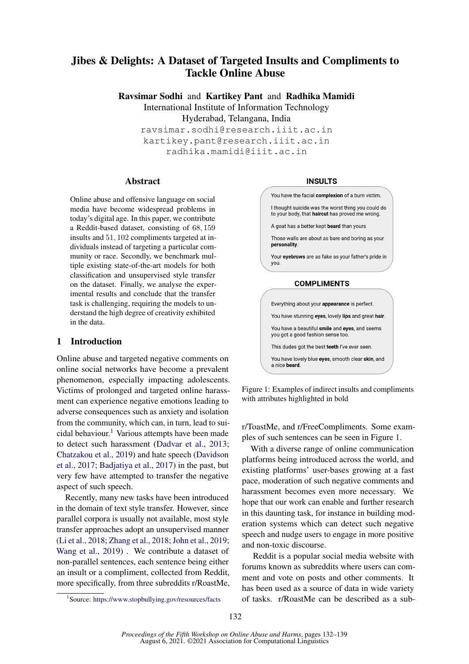# Jibes & Delights: A Dataset of Targeted Insults and Compliments to Tackle Online Abuse

Ravsimar Sodhi and Kartikey Pant and Radhika Mamidi International Institute of Information Technology

Hyderabad, Telangana, India

ravsimar.sodhi@research.iiit.ac.in kartikey.pant@research.iiit.ac.in radhika.mamidi@iiit.ac.in

### Abstract

Online abuse and offensive language on social media have become widespread problems in today's digital age. In this paper, we contribute a Reddit-based dataset, consisting of 68, 159 insults and 51, 102 compliments targeted at individuals instead of targeting a particular community or race. Secondly, we benchmark multiple existing state-of-the-art models for both classification and unsupervised style transfer on the dataset. Finally, we analyse the experimental results and conclude that the transfer task is challenging, requiring the models to understand the high degree of creativity exhibited in the data.

## 1 Introduction

Online abuse and targeted negative comments on online social networks have become a prevalent phenomenon, especially impacting adolescents. Victims of prolonged and targeted online harassment can experience negative emotions leading to adverse consequences such as anxiety and isolation from the community, which can, in turn, lead to sui-cidal behaviour.<sup>[1](#page-0-0)</sup> Various attempts have been made to detect such harassment [\(Dadvar et al.,](#page-6-0) [2013;](#page-6-0) [Chatzakou et al.,](#page-6-1) [2019\)](#page-6-1) and hate speech [\(Davidson](#page-6-2) [et al.,](#page-6-2) [2017;](#page-6-2) [Badjatiya et al.,](#page-5-0) [2017\)](#page-5-0) in the past, but very few have attempted to transfer the negative aspect of such speech.

Recently, many new tasks have been introduced in the domain of text style transfer. However, since parallel corpora is usually not available, most style transfer approaches adopt an unsupervised manner [\(Li et al.,](#page-6-3) [2018;](#page-6-3) [Zhang et al.,](#page-7-0) [2018;](#page-7-0) [John et al.,](#page-6-4) [2019;](#page-6-4) [Wang et al.,](#page-7-1) [2019\)](#page-7-1) . We contribute a dataset of non-parallel sentences, each sentence being either an insult or a compliment, collected from Reddit, more specifically, from three subreddits r/RoastMe,

#### **INSULTS**

<span id="page-0-1"></span>

Figure 1: Examples of indirect insults and compliments with attributes highlighted in bold

r/ToastMe, and r/FreeCompliments. Some examples of such sentences can be seen in Figure [1.](#page-0-1)

With a diverse range of online communication platforms being introduced across the world, and existing platforms' user-bases growing at a fast pace, moderation of such negative comments and harassment becomes even more necessary. We hope that our work can enable and further research in this daunting task, for instance in building moderation systems which can detect such negative speech and nudge users to engage in more positive and non-toxic discourse.

Reddit is a popular social media website with forums known as subreddits where users can comment and vote on posts and other comments. It has been used as a source of data in wide variety of tasks. r/RoastMe can be described as a sub-

<span id="page-0-0"></span><sup>1</sup> Source: <https://www.stopbullying.gov/resources/facts>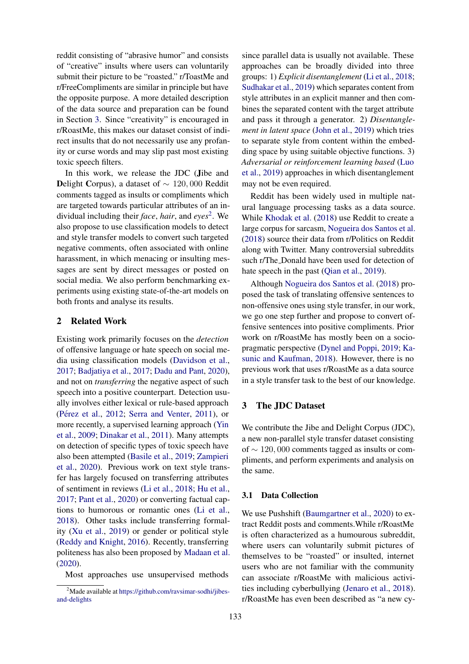reddit consisting of "abrasive humor" and consists of "creative" insults where users can voluntarily submit their picture to be "roasted." r/ToastMe and r/FreeCompliments are similar in principle but have the opposite purpose. A more detailed description of the data source and preparation can be found in Section [3.](#page-1-0) Since "creativity" is encouraged in r/RoastMe, this makes our dataset consist of indirect insults that do not necessarily use any profanity or curse words and may slip past most existing toxic speech filters.

In this work, we release the JDC (Jibe and Delight Corpus), a dataset of  $\sim 120,000$  Reddit comments tagged as insults or compliments which are targeted towards particular attributes of an individual including their *face*, *hair*, and *eyes*[2](#page-1-1) . We also propose to use classification models to detect and style transfer models to convert such targeted negative comments, often associated with online harassment, in which menacing or insulting messages are sent by direct messages or posted on social media. We also perform benchmarking experiments using existing state-of-the-art models on both fronts and analyse its results.

### 2 Related Work

Existing work primarily focuses on the *detection* of offensive language or hate speech on social media using classification models [\(Davidson et al.,](#page-6-2) [2017;](#page-6-2) [Badjatiya et al.,](#page-5-0) [2017;](#page-5-0) [Dadu and Pant,](#page-6-5) [2020\)](#page-6-5), and not on *transferring* the negative aspect of such speech into a positive counterpart. Detection usually involves either lexical or rule-based approach (Pérez et al., [2012;](#page-7-2) [Serra and Venter,](#page-7-3) [2011\)](#page-7-3), or more recently, a supervised learning approach [\(Yin](#page-7-4) [et al.,](#page-7-4) [2009;](#page-7-4) [Dinakar et al.,](#page-6-6) [2011\)](#page-6-6). Many attempts on detection of specific types of toxic speech have also been attempted [\(Basile et al.,](#page-5-1) [2019;](#page-5-1) [Zampieri](#page-7-5) [et al.,](#page-7-5) [2020\)](#page-7-5). Previous work on text style transfer has largely focused on transferring attributes of sentiment in reviews [\(Li et al.,](#page-6-3) [2018;](#page-6-3) [Hu et al.,](#page-6-7) [2017;](#page-6-7) [Pant et al.,](#page-6-8) [2020\)](#page-6-8) or converting factual captions to humorous or romantic ones [\(Li et al.,](#page-6-3) [2018\)](#page-6-3). Other tasks include transferring formality [\(Xu et al.,](#page-7-6) [2019\)](#page-7-6) or gender or political style [\(Reddy and Knight,](#page-7-7) [2016\)](#page-7-7). Recently, transferring politeness has also been proposed by [Madaan et al.](#page-6-9) [\(2020\)](#page-6-9).

Most approaches use unsupervised methods

since parallel data is usually not available. These approaches can be broadly divided into three groups: 1) *Explicit disentanglement* [\(Li et al.,](#page-6-3) [2018;](#page-6-3) [Sudhakar et al.,](#page-7-8) [2019\)](#page-7-8) which separates content from style attributes in an explicit manner and then combines the separated content with the target attribute and pass it through a generator. 2) *Disentanglement in latent space* [\(John et al.,](#page-6-4) [2019\)](#page-6-4) which tries to separate style from content within the embedding space by using suitable objective functions. 3) *Adversarial or reinforcement learning based* [\(Luo](#page-6-10) [et al.,](#page-6-10) [2019\)](#page-6-10) approaches in which disentanglement may not be even required.

Reddit has been widely used in multiple natural language processing tasks as a data source. While [Khodak et al.](#page-6-11) [\(2018\)](#page-6-11) use Reddit to create a large corpus for sarcasm, [Nogueira dos Santos et al.](#page-6-12) [\(2018\)](#page-6-12) source their data from r/Politics on Reddit along with Twitter. Many controversial subreddits such r/The Donald have been used for detection of hate speech in the past [\(Qian et al.,](#page-7-9) [2019\)](#page-7-9).

Although [Nogueira dos Santos et al.](#page-6-12) [\(2018\)](#page-6-12) proposed the task of translating offensive sentences to non-offensive ones using style transfer, in our work, we go one step further and propose to convert offensive sentences into positive compliments. Prior work on r/RoastMe has mostly been on a sociopragmatic perspective [\(Dynel and Poppi,](#page-6-13) [2019;](#page-6-13) [Ka](#page-6-14)[sunic and Kaufman,](#page-6-14) [2018\)](#page-6-14). However, there is no previous work that uses r/RoastMe as a data source in a style transfer task to the best of our knowledge.

### <span id="page-1-0"></span>3 The JDC Dataset

We contribute the Jibe and Delight Corpus (JDC), a new non-parallel style transfer dataset consisting of ∼ 120, 000 comments tagged as insults or compliments, and perform experiments and analysis on the same.

### 3.1 Data Collection

We use Pushshift [\(Baumgartner et al.,](#page-6-15) [2020\)](#page-6-15) to extract Reddit posts and comments.While r/RoastMe is often characterized as a humourous subreddit, where users can voluntarily submit pictures of themselves to be "roasted" or insulted, internet users who are not familiar with the community can associate r/RoastMe with malicious activities including cyberbullying [\(Jenaro et al.,](#page-6-16) [2018\)](#page-6-16). r/RoastMe has even been described as "a new cy-

<span id="page-1-1"></span><sup>&</sup>lt;sup>2</sup>Made available at [https://github.com/ravsimar-sodhi/jibes](https://github.com/ravsimar-sodhi/jibes-and-delights)[and-delights](https://github.com/ravsimar-sodhi/jibes-and-delights)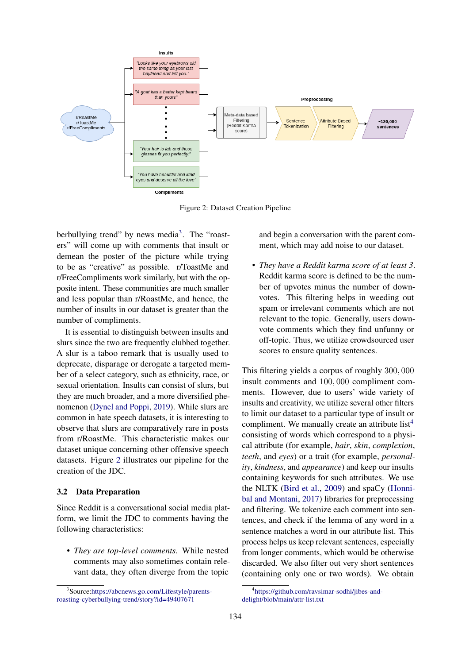<span id="page-2-1"></span>

Figure 2: Dataset Creation Pipeline

berbullying trend" by news media<sup>[3](#page-2-0)</sup>. The "roasters" will come up with comments that insult or demean the poster of the picture while trying to be as "creative" as possible. r/ToastMe and r/FreeCompliments work similarly, but with the opposite intent. These communities are much smaller and less popular than r/RoastMe, and hence, the number of insults in our dataset is greater than the number of compliments.

It is essential to distinguish between insults and slurs since the two are frequently clubbed together. A slur is a taboo remark that is usually used to deprecate, disparage or derogate a targeted member of a select category, such as ethnicity, race, or sexual orientation. Insults can consist of slurs, but they are much broader, and a more diversified phenomenon [\(Dynel and Poppi,](#page-6-13) [2019\)](#page-6-13). While slurs are common in hate speech datasets, it is interesting to observe that slurs are comparatively rare in posts from r/RoastMe. This characteristic makes our dataset unique concerning other offensive speech datasets. Figure [2](#page-2-1) illustrates our pipeline for the creation of the JDC.

### 3.2 Data Preparation

Since Reddit is a conversational social media platform, we limit the JDC to comments having the following characteristics:

• *They are top-level comments*. While nested comments may also sometimes contain relevant data, they often diverge from the topic and begin a conversation with the parent comment, which may add noise to our dataset.

• *They have a Reddit karma score of at least 3*. Reddit karma score is defined to be the number of upvotes minus the number of downvotes. This filtering helps in weeding out spam or irrelevant comments which are not relevant to the topic. Generally, users downvote comments which they find unfunny or off-topic. Thus, we utilize crowdsourced user scores to ensure quality sentences.

This filtering yields a corpus of roughly 300, 000 insult comments and 100, 000 compliment comments. However, due to users' wide variety of insults and creativity, we utilize several other filters to limit our dataset to a particular type of insult or compliment. We manually create an attribute list<sup>[4](#page-2-2)</sup> consisting of words which correspond to a physical attribute (for example, *hair*, *skin*, *complexion*, *teeth*, and *eyes*) or a trait (for example, *personality*, *kindness*, and *appearance*) and keep our insults containing keywords for such attributes. We use the NLTK [\(Bird et al.,](#page-6-17) [2009\)](#page-6-17) and spaCy [\(Honni](#page-6-18)[bal and Montani,](#page-6-18) [2017\)](#page-6-18) libraries for preprocessing and filtering. We tokenize each comment into sentences, and check if the lemma of any word in a sentence matches a word in our attribute list. This process helps us keep relevant sentences, especially from longer comments, which would be otherwise discarded. We also filter out very short sentences (containing only one or two words). We obtain

<span id="page-2-0"></span><sup>3</sup> Source[:https://abcnews.go.com/Lifestyle/parents](https://abcnews.go.com/Lifestyle/parents-roasting-cyberbullying-trend/story?id=49407671)[roasting-cyberbullying-trend/story?id=49407671](https://abcnews.go.com/Lifestyle/parents-roasting-cyberbullying-trend/story?id=49407671)

<span id="page-2-2"></span><sup>4</sup> [https://github.com/ravsimar-sodhi/jibes-and](https://github.com/ravsimar-sodhi/jibes-and-delights/blob/main/attr-list.txt)[delight/blob/main/attr-list.txt](https://github.com/ravsimar-sodhi/jibes-and-delights/blob/main/attr-list.txt)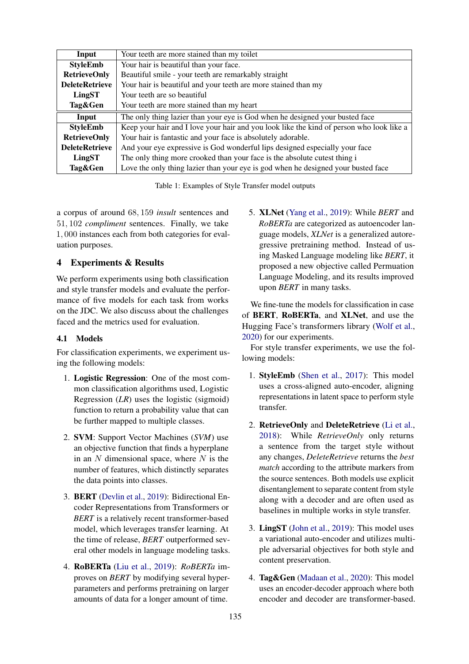<span id="page-3-0"></span>

| Input                 | Your teeth are more stained than my toilet                                               |
|-----------------------|------------------------------------------------------------------------------------------|
| <b>StyleEmb</b>       | Your hair is beautiful than your face.                                                   |
| <b>RetrieveOnly</b>   | Beautiful smile - your teeth are remarkably straight                                     |
| <b>DeleteRetrieve</b> | Your hair is beautiful and your teeth are more stained than my                           |
| LingST                | Your teeth are so beautiful                                                              |
| Tag&Gen               | Your teeth are more stained than my heart                                                |
| Input                 | The only thing lazier than your eye is God when he designed your busted face             |
| <b>StyleEmb</b>       | Keep your hair and I love your hair and you look like the kind of person who look like a |
| <b>RetrieveOnly</b>   | Your hair is fantastic and your face is absolutely adorable.                             |
| <b>DeleteRetrieve</b> | And your eye expressive is God wonderful lips designed especially your face              |
| LingST                | The only thing more crooked than your face is the absolute cutest thing i                |
| Tag&Gen               | Love the only thing lazier than your eye is god when he designed your busted face        |

Table 1: Examples of Style Transfer model outputs

a corpus of around 68, 159 *insult* sentences and 51, 102 *compliment* sentences. Finally, we take 1, 000 instances each from both categories for evaluation purposes.

## 4 Experiments & Results

We perform experiments using both classification and style transfer models and evaluate the performance of five models for each task from works on the JDC. We also discuss about the challenges faced and the metrics used for evaluation.

## 4.1 Models

For classification experiments, we experiment using the following models:

- 1. Logistic Regression: One of the most common classification algorithms used, Logistic Regression (*LR*) uses the logistic (sigmoid) function to return a probability value that can be further mapped to multiple classes.
- 2. SVM: Support Vector Machines (*SVM*) use an objective function that finds a hyperplane in an  $N$  dimensional space, where  $N$  is the number of features, which distinctly separates the data points into classes.
- 3. BERT [\(Devlin et al.,](#page-6-19) [2019\)](#page-6-19): Bidirectional Encoder Representations from Transformers or *BERT* is a relatively recent transformer-based model, which leverages transfer learning. At the time of release, *BERT* outperformed several other models in language modeling tasks.
- 4. RoBERTa [\(Liu et al.,](#page-6-20) [2019\)](#page-6-20): *RoBERTa* improves on *BERT* by modifying several hyperparameters and performs pretraining on larger amounts of data for a longer amount of time.

5. XLNet [\(Yang et al.,](#page-7-10) [2019\)](#page-7-10): While *BERT* and *RoBERTa* are categorized as autoencoder language models, *XLNet* is a generalized autoregressive pretraining method. Instead of using Masked Language modeling like *BERT*, it proposed a new objective called Permuation Language Modeling, and its results improved upon *BERT* in many tasks.

We fine-tune the models for classification in case of BERT, RoBERTa, and XLNet, and use the Hugging Face's transformers library [\(Wolf et al.,](#page-7-11) [2020\)](#page-7-11) for our experiments.

For style transfer experiments, we use the following models:

- 1. StyleEmb [\(Shen et al.,](#page-7-12) [2017\)](#page-7-12): This model uses a cross-aligned auto-encoder, aligning representations in latent space to perform style transfer.
- 2. RetrieveOnly and DeleteRetrieve [\(Li et al.,](#page-6-3) [2018\)](#page-6-3): While *RetrieveOnly* only returns a sentence from the target style without any changes, *DeleteRetrieve* returns the *best match* according to the attribute markers from the source sentences. Both models use explicit disentanglement to separate content from style along with a decoder and are often used as baselines in multiple works in style transfer.
- 3. LingST [\(John et al.,](#page-6-4) [2019\)](#page-6-4): This model uses a variational auto-encoder and utilizes multiple adversarial objectives for both style and content preservation.
- 4. Tag&Gen [\(Madaan et al.,](#page-6-9) [2020\)](#page-6-9): This model uses an encoder-decoder approach where both encoder and decoder are transformer-based.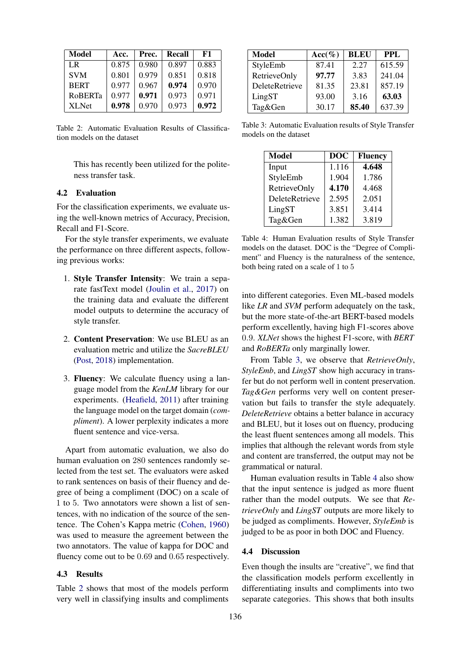<span id="page-4-0"></span>

| Model          | Acc.  | Prec. | Recall | F1    |
|----------------|-------|-------|--------|-------|
| LR.            | 0.875 | 0.980 | 0.897  | 0.883 |
| <b>SVM</b>     | 0.801 | 0.979 | 0.851  | 0.818 |
| <b>BERT</b>    | 0.977 | 0.967 | 0.974  | 0.970 |
| <b>ROBERTa</b> | 0.977 | 0.971 | 0.973  | 0.971 |
| XL Net         | 0.978 | 0.970 | 0.973  | 0.972 |

Table 2: Automatic Evaluation Results of Classification models on the dataset

This has recently been utilized for the politeness transfer task.

### 4.2 Evaluation

For the classification experiments, we evaluate using the well-known metrics of Accuracy, Precision, Recall and F1-Score.

For the style transfer experiments, we evaluate the performance on three different aspects, following previous works:

- 1. Style Transfer Intensity: We train a separate fastText model [\(Joulin et al.,](#page-6-21) [2017\)](#page-6-21) on the training data and evaluate the different model outputs to determine the accuracy of style transfer.
- 2. Content Preservation: We use BLEU as an evaluation metric and utilize the *SacreBLEU* [\(Post,](#page-7-13) [2018\)](#page-7-13) implementation.
- 3. Fluency: We calculate fluency using a language model from the *KenLM* library for our experiments. [\(Heafield,](#page-6-22) [2011\)](#page-6-22) after training the language model on the target domain (*compliment*). A lower perplexity indicates a more fluent sentence and vice-versa.

Apart from automatic evaluation, we also do human evaluation on 280 sentences randomly selected from the test set. The evaluators were asked to rank sentences on basis of their fluency and degree of being a compliment (DOC) on a scale of 1 to 5. Two annotators were shown a list of sentences, with no indication of the source of the sentence. The Cohen's Kappa metric [\(Cohen,](#page-6-23) [1960\)](#page-6-23) was used to measure the agreement between the two annotators. The value of kappa for DOC and fluency come out to be 0.69 and 0.65 respectively.

### 4.3 Results

Table [2](#page-4-0) shows that most of the models perform very well in classifying insults and compliments

<span id="page-4-1"></span>

| <b>Model</b>        | $Acc(\%)$ | <b>BLEU</b> | PPL    |
|---------------------|-----------|-------------|--------|
| StyleEmb            | 87.41     | 2.27        | 615.59 |
| <b>RetrieveOnly</b> | 97.77     | 3.83        | 241.04 |
| DeleteRetrieve      | 81.35     | 23.81       | 857.19 |
| LingST              | 93.00     | 3.16        | 63.03  |
| Tag&Gen             | 30.17     | 85.40       | 637.39 |

<span id="page-4-2"></span>Table 3: Automatic Evaluation results of Style Transfer models on the dataset

| <b>Model</b>   | <b>DOC</b> | <b>Fluency</b> |  |
|----------------|------------|----------------|--|
| Input          | 1.116      | 4.648          |  |
| StyleEmb       | 1.904      | 1.786          |  |
| RetrieveOnly   | 4.170      | 4.468          |  |
| DeleteRetrieve | 2.595      | 2.051          |  |
| LingST         | 3.851      | 3.414          |  |
| Tag&Gen        | 1.382      | 3.819          |  |

Table 4: Human Evaluation results of Style Transfer models on the dataset. DOC is the "Degree of Compliment" and Fluency is the naturalness of the sentence, both being rated on a scale of 1 to 5

into different categories. Even ML-based models like *LR* and *SVM* perform adequately on the task, but the more state-of-the-art BERT-based models perform excellently, having high F1-scores above 0.9. *XLNet* shows the highest F1-score, with *BERT* and *RoBERTa* only marginally lower.

From Table [3,](#page-4-1) we observe that *RetrieveOnly*, *StyleEmb*, and *LingST* show high accuracy in transfer but do not perform well in content preservation. *Tag&Gen* performs very well on content preservation but fails to transfer the style adequately. *DeleteRetrieve* obtains a better balance in accuracy and BLEU, but it loses out on fluency, producing the least fluent sentences among all models. This implies that although the relevant words from style and content are transferred, the output may not be grammatical or natural.

Human evaluation results in Table [4](#page-4-2) also show that the input sentence is judged as more fluent rather than the model outputs. We see that *RetrieveOnly* and *LingST* outputs are more likely to be judged as compliments. However, *StyleEmb* is judged to be as poor in both DOC and Fluency.

#### 4.4 Discussion

Even though the insults are "creative", we find that the classification models perform excellently in differentiating insults and compliments into two separate categories. This shows that both insults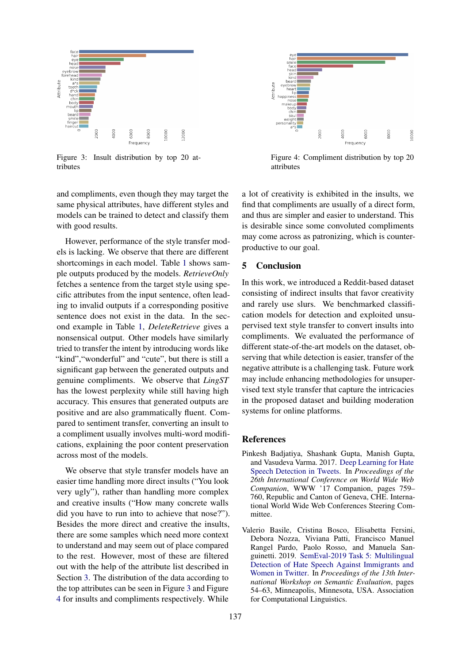<span id="page-5-2"></span>

Figure 3: Insult distribution by top 20 attributes

and compliments, even though they may target the same physical attributes, have different styles and models can be trained to detect and classify them with good results.

However, performance of the style transfer models is lacking. We observe that there are different shortcomings in each model. Table [1](#page-3-0) shows sample outputs produced by the models. *RetrieveOnly* fetches a sentence from the target style using specific attributes from the input sentence, often leading to invalid outputs if a corresponding positive sentence does not exist in the data. In the second example in Table [1,](#page-3-0) *DeleteRetrieve* gives a nonsensical output. Other models have similarly tried to transfer the intent by introducing words like "kind", "wonderful" and "cute", but there is still a significant gap between the generated outputs and genuine compliments. We observe that *LingST* has the lowest perplexity while still having high accuracy. This ensures that generated outputs are positive and are also grammatically fluent. Compared to sentiment transfer, converting an insult to a compliment usually involves multi-word modifications, explaining the poor content preservation across most of the models.

We observe that style transfer models have an easier time handling more direct insults ("You look very ugly"), rather than handling more complex and creative insults ("How many concrete walls did you have to run into to achieve that nose?"). Besides the more direct and creative the insults, there are some samples which need more context to understand and may seem out of place compared to the rest. However, most of these are filtered out with the help of the attribute list described in Section [3.](#page-1-0) The distribution of the data according to the top attributes can be seen in Figure [3](#page-5-2) and Figure [4](#page-5-2) for insults and compliments respectively. While



Figure 4: Compliment distribution by top 20 attributes

a lot of creativity is exhibited in the insults, we find that compliments are usually of a direct form, and thus are simpler and easier to understand. This is desirable since some convoluted compliments may come across as patronizing, which is counterproductive to our goal.

## 5 Conclusion

In this work, we introduced a Reddit-based dataset consisting of indirect insults that favor creativity and rarely use slurs. We benchmarked classification models for detection and exploited unsupervised text style transfer to convert insults into compliments. We evaluated the performance of different state-of-the-art models on the dataset, observing that while detection is easier, transfer of the negative attribute is a challenging task. Future work may include enhancing methodologies for unsupervised text style transfer that capture the intricacies in the proposed dataset and building moderation systems for online platforms.

### References

- <span id="page-5-0"></span>Pinkesh Badjatiya, Shashank Gupta, Manish Gupta, and Vasudeva Varma. 2017. [Deep Learning for Hate](https://doi.org/10.1145/3041021.3054223) [Speech Detection in Tweets.](https://doi.org/10.1145/3041021.3054223) In *Proceedings of the 26th International Conference on World Wide Web Companion*, WWW '17 Companion, pages 759– 760, Republic and Canton of Geneva, CHE. International World Wide Web Conferences Steering Committee.
- <span id="page-5-1"></span>Valerio Basile, Cristina Bosco, Elisabetta Fersini, Debora Nozza, Viviana Patti, Francisco Manuel Rangel Pardo, Paolo Rosso, and Manuela Sanguinetti. 2019. [SemEval-2019 Task 5: Multilingual](https://doi.org/10.18653/v1/S19-2007) [Detection of Hate Speech Against Immigrants and](https://doi.org/10.18653/v1/S19-2007) [Women in Twitter.](https://doi.org/10.18653/v1/S19-2007) In *Proceedings of the 13th International Workshop on Semantic Evaluation*, pages 54–63, Minneapolis, Minnesota, USA. Association for Computational Linguistics.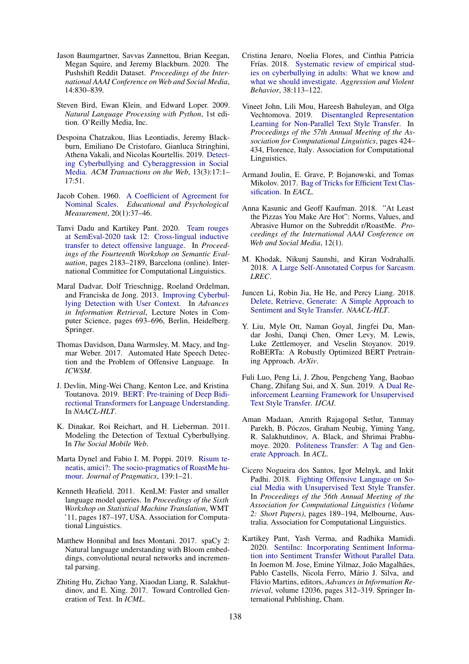- <span id="page-6-15"></span>Jason Baumgartner, Savvas Zannettou, Brian Keegan, Megan Squire, and Jeremy Blackburn. 2020. The Pushshift Reddit Dataset. *Proceedings of the International AAAI Conference on Web and Social Media*, 14:830–839.
- <span id="page-6-17"></span>Steven Bird, Ewan Klein, and Edward Loper. 2009. *Natural Language Processing with Python*, 1st edition. O'Reilly Media, Inc.
- <span id="page-6-1"></span>Despoina Chatzakou, Ilias Leontiadis, Jeremy Blackburn, Emiliano De Cristofaro, Gianluca Stringhini, Athena Vakali, and Nicolas Kourtellis. 2019. [Detect](https://doi.org/10.1145/3343484)[ing Cyberbullying and Cyberaggression in Social](https://doi.org/10.1145/3343484) [Media.](https://doi.org/10.1145/3343484) *ACM Transactions on the Web*, 13(3):17:1– 17:51.
- <span id="page-6-23"></span>Jacob Cohen. 1960. [A Coefficient of Agreement for](https://doi.org/10.1177/001316446002000104) [Nominal Scales.](https://doi.org/10.1177/001316446002000104) *Educational and Psychological Measurement*, 20(1):37–46.
- <span id="page-6-5"></span>Tanvi Dadu and Kartikey Pant. 2020. [Team rouges](https://www.aclweb.org/anthology/2020.semeval-1.290) [at SemEval-2020 task 12: Cross-lingual inductive](https://www.aclweb.org/anthology/2020.semeval-1.290) [transfer to detect offensive language.](https://www.aclweb.org/anthology/2020.semeval-1.290) In *Proceedings of the Fourteenth Workshop on Semantic Evaluation*, pages 2183–2189, Barcelona (online). International Committee for Computational Linguistics.
- <span id="page-6-0"></span>Maral Dadvar, Dolf Trieschnigg, Roeland Ordelman, and Franciska de Jong. 2013. [Improving Cyberbul](https://doi.org/10.1007/978-3-642-36973-5_62)[lying Detection with User Context.](https://doi.org/10.1007/978-3-642-36973-5_62) In *Advances in Information Retrieval*, Lecture Notes in Computer Science, pages 693–696, Berlin, Heidelberg. Springer.
- <span id="page-6-2"></span>Thomas Davidson, Dana Warmsley, M. Macy, and Ingmar Weber. 2017. Automated Hate Speech Detection and the Problem of Offensive Language. In *ICWSM*.
- <span id="page-6-19"></span>J. Devlin, Ming-Wei Chang, Kenton Lee, and Kristina Toutanova. 2019. [BERT: Pre-training of Deep Bidi](https://doi.org/10.18653/v1/N19-1423)[rectional Transformers for Language Understanding.](https://doi.org/10.18653/v1/N19-1423) In *NAACL-HLT*.
- <span id="page-6-6"></span>K. Dinakar, Roi Reichart, and H. Lieberman. 2011. Modeling the Detection of Textual Cyberbullying. In *The Social Mobile Web*.
- <span id="page-6-13"></span>Marta Dynel and Fabio I. M. Poppi. 2019. [Risum te](https://doi.org/10.1016/j.pragma.2018.10.010)[neatis, amici?: The socio-pragmatics of RoastMe hu](https://doi.org/10.1016/j.pragma.2018.10.010)[mour.](https://doi.org/10.1016/j.pragma.2018.10.010) *Journal of Pragmatics*, 139:1–21.
- <span id="page-6-22"></span>Kenneth Heafield. 2011. KenLM: Faster and smaller language model queries. In *Proceedings of the Sixth Workshop on Statistical Machine Translation*, WMT '11, pages 187–197, USA. Association for Computational Linguistics.
- <span id="page-6-18"></span>Matthew Honnibal and Ines Montani. 2017. spaCy 2: Natural language understanding with Bloom embeddings, convolutional neural networks and incremental parsing.
- <span id="page-6-7"></span>Zhiting Hu, Zichao Yang, Xiaodan Liang, R. Salakhutdinov, and E. Xing. 2017. Toward Controlled Generation of Text. In *ICML*.
- <span id="page-6-16"></span>Cristina Jenaro, Noelia Flores, and Cinthia Patricia Frías. 2018. [Systematic review of empirical stud](https://doi.org/10.1016/j.avb.2017.12.003)[ies on cyberbullying in adults: What we know and](https://doi.org/10.1016/j.avb.2017.12.003) [what we should investigate.](https://doi.org/10.1016/j.avb.2017.12.003) *Aggression and Violent Behavior*, 38:113–122.
- <span id="page-6-4"></span>Vineet John, Lili Mou, Hareesh Bahuleyan, and Olga Vechtomova. 2019. [Disentangled Representation](https://doi.org/10.18653/v1/P19-1041) [Learning for Non-Parallel Text Style Transfer.](https://doi.org/10.18653/v1/P19-1041) In *Proceedings of the 57th Annual Meeting of the Association for Computational Linguistics*, pages 424– 434, Florence, Italy. Association for Computational Linguistics.
- <span id="page-6-21"></span>Armand Joulin, E. Grave, P. Bojanowski, and Tomas Mikolov. 2017. [Bag of Tricks for Efficient Text Clas](https://doi.org/10.18653/V1/E17-2068)[sification.](https://doi.org/10.18653/V1/E17-2068) In *EACL*.
- <span id="page-6-14"></span>Anna Kasunic and Geoff Kaufman. 2018. "At Least the Pizzas You Make Are Hot": Norms, Values, and Abrasive Humor on the Subreddit r/RoastMe. *Proceedings of the International AAAI Conference on Web and Social Media*, 12(1).
- <span id="page-6-11"></span>M. Khodak, Nikunj Saunshi, and Kiran Vodrahalli. 2018. [A Large Self-Annotated Corpus for Sarcasm.](http://arxiv.org/abs/1704.05579) *LREC*.
- <span id="page-6-3"></span>Juncen Li, Robin Jia, He He, and Percy Liang. 2018. [Delete, Retrieve, Generate: A Simple Approach to](https://doi.org/10.18653/v1/N18-1169) [Sentiment and Style Transfer.](https://doi.org/10.18653/v1/N18-1169) *NAACL-HLT*.
- <span id="page-6-20"></span>Y. Liu, Myle Ott, Naman Goyal, Jingfei Du, Mandar Joshi, Danqi Chen, Omer Levy, M. Lewis, Luke Zettlemoyer, and Veselin Stoyanov. 2019. RoBERTa: A Robustly Optimized BERT Pretraining Approach. *ArXiv*.
- <span id="page-6-10"></span>Fuli Luo, Peng Li, J. Zhou, Pengcheng Yang, Baobao Chang, Zhifang Sui, and X. Sun. 2019. [A Dual Re](https://doi.org/10.24963/ijcai.2019/711)[inforcement Learning Framework for Unsupervised](https://doi.org/10.24963/ijcai.2019/711) [Text Style Transfer.](https://doi.org/10.24963/ijcai.2019/711) *IJCAI*.
- <span id="page-6-9"></span>Aman Madaan, Amrith Rajagopal Setlur, Tanmay Parekh, B. Póczos, Graham Neubig, Yiming Yang, R. Salakhutdinov, A. Black, and Shrimai Prabhumoye. 2020. [Politeness Transfer: A Tag and Gen](https://doi.org/10.18653/v1/2020.acl-main.169)[erate Approach.](https://doi.org/10.18653/v1/2020.acl-main.169) In *ACL*.
- <span id="page-6-12"></span>Cicero Nogueira dos Santos, Igor Melnyk, and Inkit Padhi. 2018. [Fighting Offensive Language on So](https://doi.org/10.18653/v1/P18-2031)[cial Media with Unsupervised Text Style Transfer.](https://doi.org/10.18653/v1/P18-2031) In *Proceedings of the 56th Annual Meeting of the Association for Computational Linguistics (Volume 2: Short Papers)*, pages 189–194, Melbourne, Australia. Association for Computational Linguistics.
- <span id="page-6-8"></span>Kartikey Pant, Yash Verma, and Radhika Mamidi. 2020. [SentiInc: Incorporating Sentiment Informa](https://doi.org/10.1007/978-3-030-45442-5_39)[tion into Sentiment Transfer Without Parallel Data.](https://doi.org/10.1007/978-3-030-45442-5_39) In Joemon M. Jose, Emine Yilmaz, João Magalhães, Pablo Castells, Nicola Ferro, Mário J. Silva, and Flávio Martins, editors, Advances in Information Re*trieval*, volume 12036, pages 312–319. Springer International Publishing, Cham.